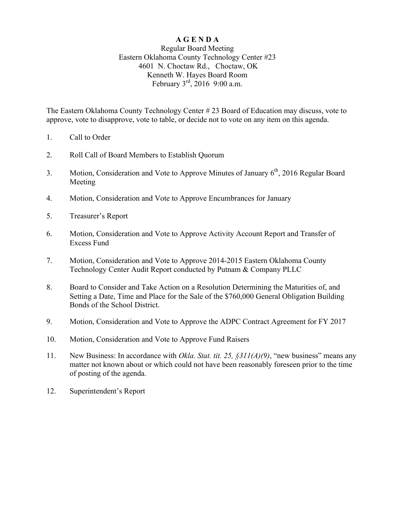## **A G E N D A**

## Regular Board Meeting Eastern Oklahoma County Technology Center #23 4601 N. Choctaw Rd., Choctaw, OK Kenneth W. Hayes Board Room February  $3^{rd}$ , 2016 9:00 a.m.

The Eastern Oklahoma County Technology Center # 23 Board of Education may discuss, vote to approve, vote to disapprove, vote to table, or decide not to vote on any item on this agenda.

- 1. Call to Order
- 2. Roll Call of Board Members to Establish Quorum
- 3. Motion, Consideration and Vote to Approve Minutes of January  $6<sup>th</sup>$ , 2016 Regular Board Meeting
- 4. Motion, Consideration and Vote to Approve Encumbrances for January
- 5. Treasurer's Report
- 6. Motion, Consideration and Vote to Approve Activity Account Report and Transfer of Excess Fund
- 7. Motion, Consideration and Vote to Approve 2014-2015 Eastern Oklahoma County Technology Center Audit Report conducted by Putnam & Company PLLC
- 8. Board to Consider and Take Action on a Resolution Determining the Maturities of, and Setting a Date, Time and Place for the Sale of the \$760,000 General Obligation Building Bonds of the School District.
- 9. Motion, Consideration and Vote to Approve the ADPC Contract Agreement for FY 2017
- 10. Motion, Consideration and Vote to Approve Fund Raisers
- 11. New Business: In accordance with *Okla. Stat. tit. 25, §311(A)(9)*, "new business" means any matter not known about or which could not have been reasonably foreseen prior to the time of posting of the agenda.
- 12. Superintendent's Report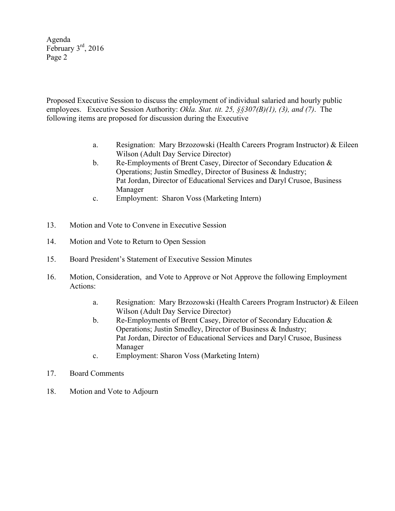Agenda February 3rd, 2016 Page 2

Proposed Executive Session to discuss the employment of individual salaried and hourly public employees. Executive Session Authority: *Okla. Stat. tit. 25, §§307(B)(1), (3), and (7)*. The following items are proposed for discussion during the Executive

- a. Resignation: Mary Brzozowski (Health Careers Program Instructor) & Eileen Wilson (Adult Day Service Director)
- b. Re-Employments of Brent Casey, Director of Secondary Education & Operations; Justin Smedley, Director of Business & Industry; Pat Jordan, Director of Educational Services and Daryl Crusoe, Business Manager
- c. Employment: Sharon Voss (Marketing Intern)
- 13. Motion and Vote to Convene in Executive Session
- 14. Motion and Vote to Return to Open Session
- 15. Board President's Statement of Executive Session Minutes
- 16. Motion, Consideration, and Vote to Approve or Not Approve the following Employment Actions:
	- a. Resignation: Mary Brzozowski (Health Careers Program Instructor) & Eileen Wilson (Adult Day Service Director)
	- b. Re-Employments of Brent Casey, Director of Secondary Education & Operations; Justin Smedley, Director of Business & Industry; Pat Jordan, Director of Educational Services and Daryl Crusoe, Business Manager
	- c. Employment: Sharon Voss (Marketing Intern)
- 17. Board Comments
- 18. Motion and Vote to Adjourn